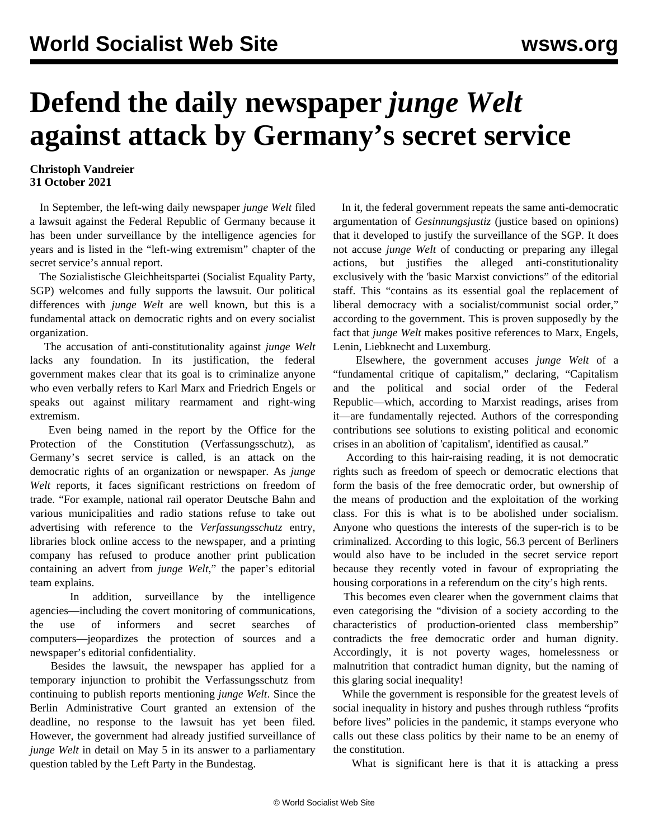## **Defend the daily newspaper** *junge Welt* **against attack by Germany's secret service**

## **Christoph Vandreier 31 October 2021**

 In September, the left-wing daily newspaper *junge Welt* filed a lawsuit against the Federal Republic of Germany because it has been under surveillance by the intelligence agencies for years and is listed in the "left-wing extremism" chapter of the secret service's annual report.

 The Sozialistische Gleichheitspartei (Socialist Equality Party, SGP) welcomes and fully supports the lawsuit. Our political differences with *junge Welt* are well known, but this is a fundamental attack on democratic rights and on every socialist organization.

 The accusation of anti-constitutionality against *junge Welt* lacks any foundation. In its justification, the federal government makes clear that its goal is to criminalize anyone who even verbally refers to Karl Marx and Friedrich Engels or speaks out against military rearmament and right-wing extremism.

 Even being named in the report by the Office for the Protection of the Constitution (Verfassungsschutz), as Germany's secret service is called, is an attack on the democratic rights of an organization or newspaper. As *junge Welt* reports, it faces significant restrictions on freedom of trade. "For example, national rail operator Deutsche Bahn and various municipalities and radio stations refuse to take out advertising with reference to the *Verfassungsschutz* entry, libraries block online access to the newspaper, and a printing company has refused to produce another print publication containing an advert from *junge Welt*," the paper's editorial team explains.

 In addition, surveillance by the intelligence agencies—including the covert monitoring of communications, the use of informers and secret searches of computers—jeopardizes the protection of sources and a newspaper's editorial confidentiality.

 Besides the lawsuit, the newspaper has applied for a temporary injunction to prohibit the Verfassungsschutz from continuing to publish reports mentioning *junge Welt*. Since the Berlin Administrative Court granted an extension of the deadline, no response to the lawsuit has yet been filed. However, the government had already justified surveillance of *junge Welt* in detail on May 5 in its answer to a parliamentary question tabled by the Left Party in the Bundestag.

 In it, the federal government repeats the same anti-democratic argumentation of *Gesinnungsjustiz* (justice based on opinions) that it developed to [justify](/en/articles/2019/07/26/sgps-j26.html) the surveillance of the SGP. It does not accuse *junge Welt* of conducting or preparing any illegal actions, but justifies the alleged anti-constitutionality exclusively with the 'basic Marxist convictions" of the editorial staff. This "contains as its essential goal the replacement of liberal democracy with a socialist/communist social order," according to the government. This is proven supposedly by the fact that *junge Welt* makes positive references to Marx, Engels, Lenin, Liebknecht and Luxemburg.

 Elsewhere, the government accuses *junge Welt* of a "fundamental critique of capitalism," declaring, "Capitalism and the political and social order of the Federal Republic—which, according to Marxist readings, arises from it—are fundamentally rejected. Authors of the corresponding contributions see solutions to existing political and economic crises in an abolition of 'capitalism', identified as causal."

 According to this hair-raising reading, it is not democratic rights such as freedom of speech or democratic elections that form the basis of the free democratic order, but ownership of the means of production and the exploitation of the working class. For this is what is to be abolished under socialism. Anyone who questions the interests of the super-rich is to be criminalized. According to this logic, 56.3 percent of Berliners would also have to be included in the secret service report because they recently voted in favour of expropriating the housing corporations in a referendum on the city's high rents.

 This becomes even clearer when the government claims that even categorising the "division of a society according to the characteristics of production-oriented class membership" contradicts the free democratic order and human dignity. Accordingly, it is not poverty wages, homelessness or malnutrition that contradict human dignity, but the naming of this glaring social inequality!

 While the government is responsible for the greatest levels of social inequality in history and pushes through ruthless "profits before lives" policies in the pandemic, it stamps everyone who calls out these class politics by their name to be an enemy of the constitution.

What is significant here is that it is attacking a press